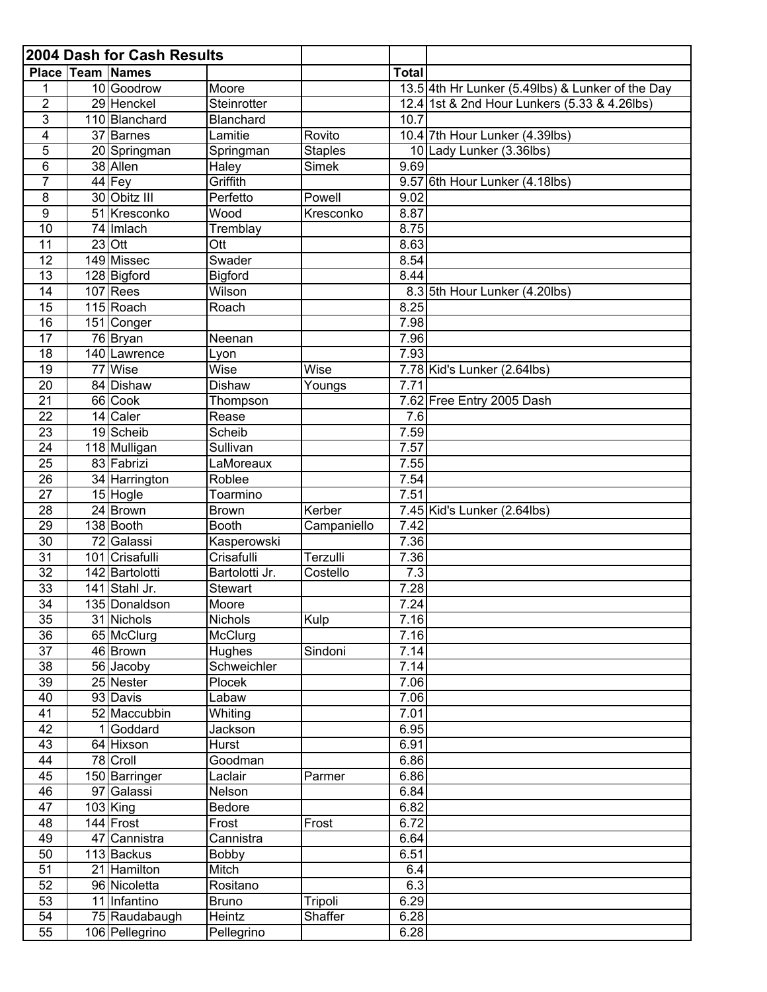|                                    |    | 2004 Dash for Cash Results      |                           |                |                   |                                                  |
|------------------------------------|----|---------------------------------|---------------------------|----------------|-------------------|--------------------------------------------------|
|                                    |    | <b>Place Team Names</b>         |                           |                | <b>Total</b>      |                                                  |
|                                    |    | 10 Goodrow                      | Moore                     |                |                   | 13.5 4th Hr Lunker (5.49lbs) & Lunker of the Day |
| $\overline{2}$                     |    | 29 Henckel                      | Steinrotter               |                |                   | 12.4 1st & 2nd Hour Lunkers (5.33 & 4.26lbs)     |
| 3                                  |    | 110 Blanchard                   | Blanchard                 |                | 10.7              |                                                  |
| 4                                  |    | $\overline{37}$ Barnes          | Lamitie                   | Rovito         |                   | 10.4 7th Hour Lunker (4.39lbs)                   |
| 5                                  |    | 20 Springman                    | Springman                 | <b>Staples</b> |                   | 10 Lady Lunker (3.36lbs)                         |
| 6                                  |    | 38 Allen                        | Haley                     | <b>Simek</b>   | 9.69              |                                                  |
| $\overline{7}$                     |    | 44 Fey                          | Griffith                  |                |                   | 9.57 6th Hour Lunker (4.18lbs)                   |
| 8                                  |    | 30 Obitz III                    | Perfetto                  | Powell         | 9.02              |                                                  |
| $\boldsymbol{9}$                   |    | 51 Kresconko                    | Wood                      | Kresconko      | 8.87              |                                                  |
| $\overline{10}$                    |    | 74 Imlach                       | Tremblay                  |                | 8.75              |                                                  |
| 11                                 |    | $23$ Ott                        | Ott                       |                | 8.63              |                                                  |
| $\overline{12}$                    |    | 149 Missec                      | Swader                    |                | 8.54              |                                                  |
| $\overline{13}$                    |    | 128 Bigford                     | <b>Bigford</b>            |                | 8.44              |                                                  |
| 14                                 |    | 107 Rees                        | Wilson                    |                |                   | 8.3 5th Hour Lunker (4.20lbs)                    |
| $\overline{15}$                    |    | 115 Roach                       | Roach                     |                | 8.25              |                                                  |
| $\overline{16}$                    |    | 151 Conger                      |                           |                | 7.98              |                                                  |
| 17                                 |    | $\overline{76}$ Bryan           | Neenan                    |                | 7.96              |                                                  |
| $\overline{18}$                    |    | 140 Lawrence                    | Lyon                      |                | 7.93              |                                                  |
| $\overline{19}$                    | 77 | Wise                            | Wise                      | Wise           |                   | 7.78 Kid's Lunker (2.64lbs)                      |
| 20                                 |    | 84 Dishaw                       | <b>Dishaw</b>             | Youngs         | 7.71              |                                                  |
| $\overline{21}$                    |    | 66 Cook                         | Thompson                  |                |                   | 7.62 Free Entry 2005 Dash                        |
| 22                                 |    | 14 Caler                        | Rease                     |                | 7.6               |                                                  |
| 23                                 |    | 19 Scheib                       | Scheib                    |                | 7.59              |                                                  |
| 24                                 |    | 118 Mulligan                    | Sullivan                  |                | 7.57              |                                                  |
| $\overline{25}$                    |    | 83 Fabrizi                      | LaMoreaux                 |                | 7.55              |                                                  |
| 26                                 |    | 34 Harrington                   | Roblee                    |                | 7.54              |                                                  |
| 27                                 |    | 15 Hogle                        | Toarmino                  |                | $7.\overline{51}$ |                                                  |
| $\overline{28}$                    |    | 24 Brown                        | <b>Brown</b>              | Kerber         |                   | 7.45 Kid's Lunker (2.64lbs)                      |
| 29                                 |    | 138 Booth                       | <b>Booth</b>              | Campaniello    | 7.42              |                                                  |
| $\overline{30}$                    |    | 72 Galassi                      | Kasperowski               |                | 7.36              |                                                  |
| 31                                 |    | 101 Crisafulli                  | Crisafulli                | Terzulli       | 7.36              |                                                  |
| $\overline{32}$<br>$\overline{33}$ |    | 142 Bartolotti<br>141 Stahl Jr. | Bartolotti Jr.            | Costello       | 7.3               |                                                  |
|                                    |    |                                 | <b>Stewart</b>            |                | 7.28              |                                                  |
| $\overline{34}$                    |    | 135 Donaldson                   | Moore                     |                | 7.24<br>7.16      |                                                  |
| 35<br>36                           |    | 31 Nichols<br>65 McClurg        | <b>Nichols</b><br>McClurg | Kulp           | 7.16              |                                                  |
| $\overline{37}$                    |    | 46 Brown                        | Hughes                    | Sindoni        | 7.14              |                                                  |
| 38                                 |    | 56 Jacoby                       | Schweichler               |                | 7.14              |                                                  |
| 39                                 |    | 25 Nester                       | Plocek                    |                | 7.06              |                                                  |
| 40                                 |    | 93 Davis                        | Labaw                     |                | 7.06              |                                                  |
| 41                                 |    | 52 Maccubbin                    | Whiting                   |                | 7.01              |                                                  |
| 42                                 |    | Goddard                         | Jackson                   |                | 6.95              |                                                  |
| 43                                 |    | 64 Hixson                       | Hurst                     |                | 6.91              |                                                  |
| 44                                 |    | $\overline{78}$ Croll           | Goodman                   |                | 6.86              |                                                  |
| 45                                 |    | 150 Barringer                   | Laclair                   | Parmer         | 6.86              |                                                  |
| 46                                 |    | 97 Galassi                      | Nelson                    |                | 6.84              |                                                  |
| 47                                 |    | $103$ King                      | <b>Bedore</b>             |                | 6.82              |                                                  |
| 48                                 |    | 144 Frost                       | Frost                     | Frost          | 6.72              |                                                  |
| 49                                 |    | 47 Cannistra                    | Cannistra                 |                | 6.64              |                                                  |
| 50                                 |    | 113 Backus                      | <b>Bobby</b>              |                | 6.51              |                                                  |
| 51                                 |    | 21 Hamilton                     | Mitch                     |                | 6.4               |                                                  |
| 52                                 |    | 96 Nicoletta                    | Rositano                  |                | 6.3               |                                                  |
| 53                                 |    | 11 Infantino                    | <b>Bruno</b>              | Tripoli        | 6.29              |                                                  |
| $\overline{54}$                    |    | 75 Raudabaugh                   | Heintz                    | Shaffer        | 6.28              |                                                  |
| $\overline{55}$                    |    | 106 Pellegrino                  | Pellegrino                |                | 6.28              |                                                  |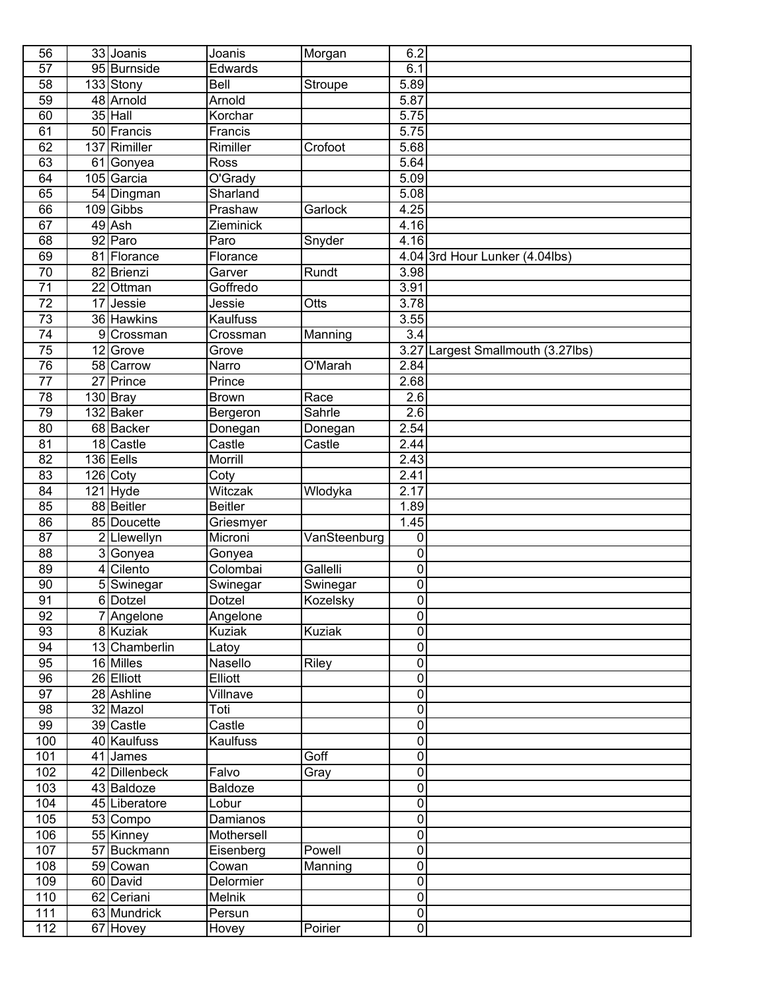| 56              |                 | 33 Joanis              | Joanis             | Morgan        | 6.2                              |                                |
|-----------------|-----------------|------------------------|--------------------|---------------|----------------------------------|--------------------------------|
| $\overline{57}$ |                 | 95 Burnside            | Edwards            |               | 6.1                              |                                |
| $\overline{58}$ |                 | 133 Stony              | Bell               | Stroupe       | 5.89                             |                                |
| 59              |                 | 48 Arnold              | Arnold             |               | 5.87                             |                                |
| 60              |                 | 35 Hall                | Korchar            |               | 5.75                             |                                |
| 61              |                 | 50 Francis             | Francis            |               | 5.75                             |                                |
| 62              |                 | 137 Rimiller           | Rimiller           | Crofoot       | 5.68                             |                                |
| 63              | 61              | Gonyea                 | Ross               |               | 5.64                             |                                |
| 64              |                 | 105 Garcia             | O'Grady            |               | 5.09                             |                                |
| 65              |                 | 54 Dingman             | Sharland           |               | 5.08                             |                                |
| 66              |                 | 109 Gibbs              | Prashaw            | Garlock       | 4.25                             |                                |
| 67              |                 | 49 Ash                 | Zieminick          |               | 4.16                             |                                |
| 68              |                 | 92 Paro                | Paro               | Snyder        | 4.16                             |                                |
| 69              |                 | 81 Florance            | Florance           |               |                                  | 4.04 3rd Hour Lunker (4.04lbs) |
| 70              |                 | 82 Brienzi             | Garver             | Rundt         | 3.98                             |                                |
| $\overline{71}$ |                 | $\overline{22}$ Ottman | Goffredo           |               | 3.91                             |                                |
| $\overline{72}$ | 17              | Jessie                 | Jessie             | Otts          | 3.78                             |                                |
| $\overline{73}$ |                 | 36 Hawkins             | <b>Kaulfuss</b>    |               | 3.55                             |                                |
| $\overline{74}$ |                 | 9 Crossman             | Crossman           | Manning       | $\overline{3.4}$                 |                                |
| $\overline{75}$ | 12              | Grove                  | Grove              |               | 3.27                             | Largest Smallmouth (3.27lbs)   |
| 76              |                 | 58 Carrow              | Narro              | O'Marah       | 2.84                             |                                |
| $\overline{77}$ | $\overline{27}$ | Prince                 | Prince             |               | 2.68                             |                                |
| 78              |                 | $130$ Bray             | <b>Brown</b>       | Race          | 2.6                              |                                |
| 79              |                 | 132 Baker              | Bergeron           | Sahrle        | 2.6                              |                                |
| $\overline{80}$ |                 | 68 Backer              | Donegan            | Donegan       | 2.54                             |                                |
| $\overline{81}$ |                 | 18 Castle              | Castle             | Castle        | 2.44                             |                                |
| $\overline{82}$ |                 | 136 Eells              | Morrill            |               | 2.43                             |                                |
| 83              |                 | 126 Coty               | Coty               |               | 2.41                             |                                |
| 84              |                 | 121 Hyde               | Witczak            | Wlodyka       | 2.17                             |                                |
| 85              |                 | 88 Beitler             | <b>Beitler</b>     |               | 1.89                             |                                |
| 86              |                 | 85 Doucette            | Griesmyer          |               | $\overline{1.45}$                |                                |
| 87              |                 | 2 Llewellyn            | Microni            | VanSteenburg  | 0                                |                                |
| 88              |                 | 3Gonyea                | Gonyea             |               | $\pmb{0}$                        |                                |
| 89              | 4               | Cilento                | Colombai           | Gallelli      | $\pmb{0}$                        |                                |
| 90              |                 | 5Swinegar              | Swinegar           | Swinegar      | 0                                |                                |
| $\overline{91}$ |                 | 6 Dotzel               | Dotzel             | Kozelsky      | $\pmb{0}$                        |                                |
| 92              |                 | 7 Angelone             | Angelone           |               | $\pmb{0}$                        |                                |
| 93              |                 | 8 Kuziak               | <b>Kuziak</b>      | <b>Kuziak</b> | $\overline{0}$                   |                                |
| 94              |                 | 13 Chamberlin          | Latoy              |               | $\pmb{0}$                        |                                |
| 95              |                 | 16 Milles              | Nasello            | Riley         | $\overline{0}$                   |                                |
| 96              |                 | 26 Elliott             | Elliott            |               | $\overline{0}$                   |                                |
| 97              |                 | 28 Ashline             | Villnave           |               | $\overline{0}$                   |                                |
| 98              |                 | 32 Mazol               | Toti               |               | $\overline{0}$                   |                                |
| 99              |                 | 39 Castle              | Castle             |               | $\pmb{0}$                        |                                |
| 100             |                 | 40 Kaulfuss            | <b>Kaulfuss</b>    |               | $\pmb{0}$                        |                                |
| 101             |                 | 41 James               |                    | Goff          | $\pmb{0}$                        |                                |
| 102             |                 | 42 Dillenbeck          | Falvo              | Gray          | $\pmb{0}$                        |                                |
| 103             |                 | 43 Baldoze             | Baldoze            |               | $\pmb{0}$                        |                                |
| 104             |                 | 45 Liberatore          | Lobur              |               | $\pmb{0}$                        |                                |
| 105             |                 | 53 Compo               | Damianos           |               | $\pmb{0}$                        |                                |
| 106             |                 | 55 Kinney              | Mothersell         |               | $\overline{0}$<br>$\overline{0}$ |                                |
| 107             |                 | 57 Buckmann            | Eisenberg          | Powell        | $\overline{0}$                   |                                |
| 108             |                 | 59 Cowan<br>60 David   | Cowan<br>Delormier | Manning       | $\overline{0}$                   |                                |
| 109<br>110      |                 | 62 Ceriani             | Melnik             |               | $\overline{0}$                   |                                |
| 111             |                 | 63 Mundrick            | Persun             |               | $\overline{0}$                   |                                |
| 112             |                 | 67 Hovey               | Hovey              | Poirier       | $\pmb{0}$                        |                                |
|                 |                 |                        |                    |               |                                  |                                |